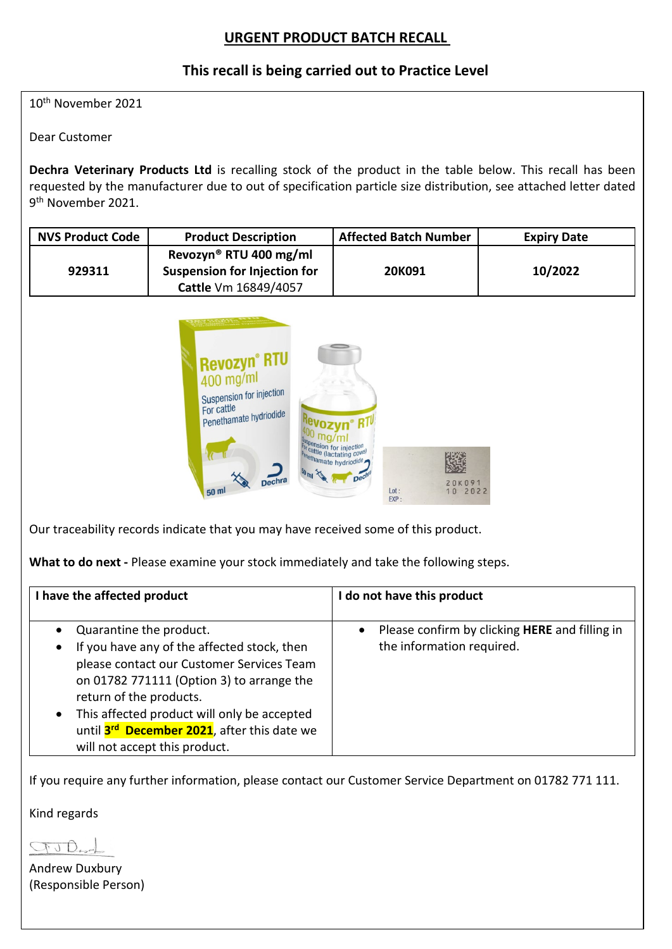# **URGENT PRODUCT BATCH RECALL**

## **This recall is being carried out to Practice Level**

10th November 2021

Dear Customer

**Dechra Veterinary Products Ltd** is recalling stock of the product in the table below. This recall has been requested by the manufacturer due to out of specification particle size distribution, see attached letter dated 9th November 2021.

| <b>NVS Product Code</b> | <b>Product Description</b>                                                                        | <b>Affected Batch Number</b> | <b>Expiry Date</b> |
|-------------------------|---------------------------------------------------------------------------------------------------|------------------------------|--------------------|
| 929311                  | Revozyn <sup>®</sup> RTU 400 mg/ml<br><b>Suspension for Injection for</b><br>Cattle Vm 16849/4057 | 20K091                       | 10/2022            |



Our traceability records indicate that you may have received some of this product.

**What to do next -** Please examine your stock immediately and take the following steps.

| I have the affected product                                                                                                                                                                                                                                                                                                                                                   | I do not have this product                                                  |
|-------------------------------------------------------------------------------------------------------------------------------------------------------------------------------------------------------------------------------------------------------------------------------------------------------------------------------------------------------------------------------|-----------------------------------------------------------------------------|
| Quarantine the product.<br>$\bullet$<br>If you have any of the affected stock, then<br>$\bullet$<br>please contact our Customer Services Team<br>on 01782 771111 (Option 3) to arrange the<br>return of the products.<br>This affected product will only be accepted<br>$\bullet$<br>until 3 <sup>rd</sup> December 2021, after this date we<br>will not accept this product. | Please confirm by clicking HERE and filling in<br>the information required. |

If you require any further information, please contact our Customer Service Department on 01782 771 111.

Kind regards

GUD

Andrew Duxbury (Responsible Person)